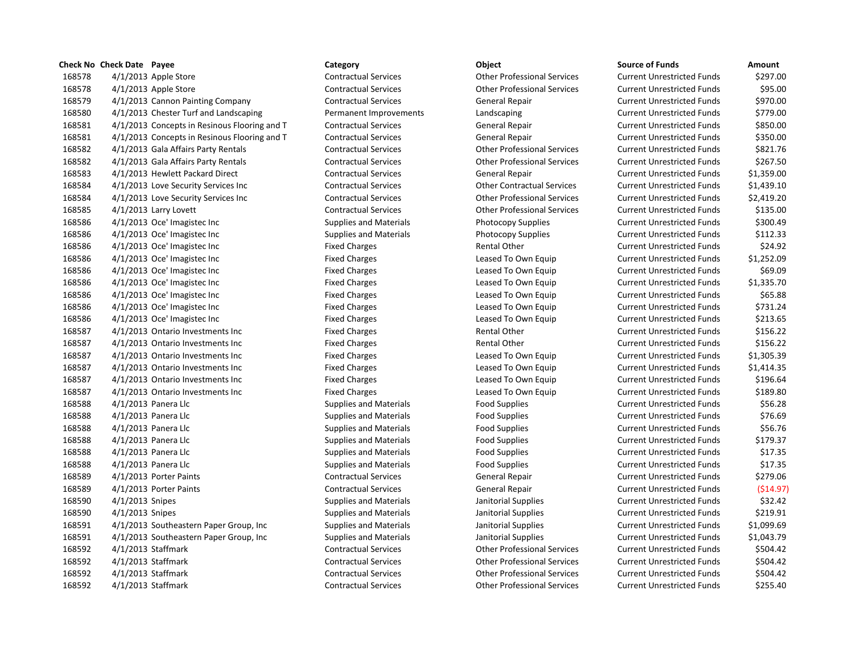## **Check No Check Date Payee Category Object Source of Funds Amount** 4/1/2013 Apple Store Contractual Services Other Professional Services Current Unrestricted Funds \$297.00 4/1/2013 Apple Store Contractual Services Other Professional Services Current Unrestricted Funds \$95.00 4/1/2013 Cannon Painting Company Contractual Services General Repair Current Unrestricted Funds \$970.00 4/1/2013 Chester Turf and Landscaping Permanent Improvements Landscaping Current Unrestricted Funds \$779.00 4/1/2013 Concepts in Resinous Flooring and T Contractual Services General Repair Current Unrestricted Funds \$850.00 4/1/2013 Concepts in Resinous Flooring and T Contractual Services General Repair Current Unrestricted Funds \$350.00 4/1/2013 Gala Affairs Party Rentals Contractual Services Other Professional Services Current Unrestricted Funds \$821.76 4/1/2013 Gala Affairs Party Rentals Contractual Services Other Professional Services Current Unrestricted Funds \$267.50 4/1/2013 Hewlett Packard Direct Contractual Services General Repair Current Unrestricted Funds \$1,359.00 4/1/2013 Love Security Services Inc Contractual Services Other Contractual Services Current Unrestricted Funds \$1,439.10 4/1/2013 Love Security Services Inc Contractual Services Other Professional Services Current Unrestricted Funds \$2,419.20 4/1/2013 Larry Lovett Contractual Services Other Professional Services Current Unrestricted Funds \$135.00 168586 4/1/2013 Oce' Imagistec Inc Current Unrestricted Funds Same Same Supplies and Materials Photocopy Supplies Current Unrestricted Funds \$300.49 168586 4/1/2013 Oce' Imagistec Inc Supplies and Materials Photocopy Supplies Current Unrestricted Funds \$112.33 168586 4/1/2013 Oce' Imagistec Inc Current Unrestricted Funds \$24.92 4/1/2013 Oce' Imagistec Inc Fixed Charges Leased To Own Equip Current Unrestricted Funds \$1,252.09 4/1/2013 Oce' Imagistec Inc Fixed Charges Leased To Own Equip Current Unrestricted Funds \$69.09 4/1/2013 Oce' Imagistec Inc Fixed Charges Leased To Own Equip Current Unrestricted Funds \$1,335.70 4/1/2013 Oce' Imagistec Inc Fixed Charges Leased To Own Equip Current Unrestricted Funds \$65.88 4/1/2013 Oce' Imagistec Inc Fixed Charges Leased To Own Equip Current Unrestricted Funds \$731.24 4/1/2013 Oce' Imagistec Inc Fixed Charges Leased To Own Equip Current Unrestricted Funds \$213.65 4/1/2013 Ontario Investments Inc Fixed Charges Rental Other Current Unrestricted Funds \$156.22 4/1/2013 Ontario Investments Inc Fixed Charges Rental Other Current Unrestricted Funds \$156.22 4/1/2013 Ontario Investments Inc Fixed Charges Leased To Own Equip Current Unrestricted Funds \$1,305.39 4/1/2013 Ontario Investments Inc Fixed Charges Leased To Own Equip Current Unrestricted Funds \$1,414.35 4/1/2013 Ontario Investments Inc Fixed Charges Leased To Own Equip Current Unrestricted Funds \$196.64 4/1/2013 Ontario Investments Inc Fixed Charges Leased To Own Equip Current Unrestricted Funds \$189.80 168588 4/1/2013 Panera Llc Supplies and Materials Food Supplies Food Supplies Current Unrestricted Funds \$56.28 168588 4/1/2013 Panera Llc Supplies and Materials Food Supplies Food Supplies Current Unrestricted Funds 576.69 4/1/2013 Panera Llc Supplies and Materials Food Supplies Current Unrestricted Funds \$56.76 168588 4/1/2013 Panera Llc Supplies and Materials Food Supplies Food Supplies Current Unrestricted Funds 5179.37 168588 4/1/2013 Panera Llc Supplies and Materials Food Supplies Food Supplies Current Unrestricted Funds 517.35 168588 4/1/2013 Panera Llc Supplies and Materials Food Supplies Food Supplies Current Unrestricted Funds 517.35 4/1/2013 Porter Paints Contractual Services General Repair Current Unrestricted Funds \$279.06 4/1/2013 Porter Paints Contractual Services General Repair Current Unrestricted Funds (\$14.97) 4/1/2013 Snipes Supplies and Materials Janitorial Supplies Current Unrestricted Funds \$32.42 168590 4/1/2013 Snipes Supplies and Materials Janitorial Supplies Current Unrestricted Funds \$219.91 4/1/2013 Southeastern Paper Group, Inc Supplies and Materials Janitorial Supplies Current Unrestricted Funds \$1,099.69 4/1/2013 Southeastern Paper Group, Inc Supplies and Materials Janitorial Supplies Current Unrestricted Funds \$1,043.79 4/1/2013 Staffmark Contractual Services Other Professional Services Current Unrestricted Funds \$504.42 4/1/2013 Staffmark Contractual Services Other Professional Services Current Unrestricted Funds \$504.42 4/1/2013 Staffmark Contractual Services Other Professional Services Current Unrestricted Funds \$504.42 4/1/2013 Staffmark Contractual Services Other Professional Services Current Unrestricted Funds \$255.40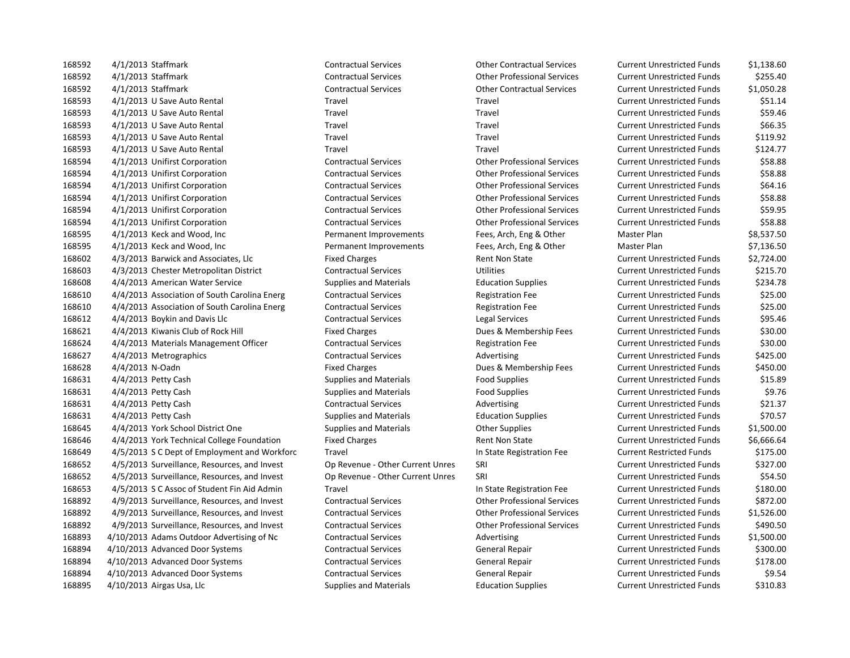4/1/2013 Staffmark Contractual Services Other Contractual Services Current Unrestricted Funds \$1,138.60 4/1/2013 Staffmark Contractual Services Other Professional Services Current Unrestricted Funds \$255.40 4/1/2013 Staffmark Contractual Services Other Contractual Services Current Unrestricted Funds \$1,050.28 4/1/2013 U Save Auto Rental Travel Travel Current Unrestricted Funds \$51.14 4/1/2013 U Save Auto Rental Travel Travel Current Unrestricted Funds \$59.46 4/1/2013 U Save Auto Rental Travel Travel Current Unrestricted Funds \$66.35 4/1/2013 U Save Auto Rental Travel Travel Current Unrestricted Funds \$119.92 4/1/2013 U Save Auto Rental Travel Travel Current Unrestricted Funds \$124.77 4/1/2013 Unifirst Corporation Contractual Services Other Professional Services Current Unrestricted Funds \$58.88 4/1/2013 Unifirst Corporation Contractual Services Other Professional Services Current Unrestricted Funds \$58.88 4/1/2013 Unifirst Corporation Contractual Services Other Professional Services Current Unrestricted Funds \$64.16 4/1/2013 Unifirst Corporation Contractual Services Other Professional Services Current Unrestricted Funds \$58.88 4/1/2013 Unifirst Corporation Contractual Services Other Professional Services Current Unrestricted Funds \$59.95 4/1/2013 Unifirst Corporation Contractual Services Other Professional Services Current Unrestricted Funds \$58.88 4/1/2013 Keck and Wood, Inc Permanent Improvements Fees, Arch, Eng & Other Master Plan \$8,537.50 4/1/2013 Keck and Wood, Inc Permanent Improvements Fees, Arch, Eng & Other Master Plan \$7,136.50 4/3/2013 Barwick and Associates, Llc Fixed Charges Rent Non State Current Unrestricted Funds \$2,724.00 4/3/2013 Chester Metropolitan District Contractual Services Utilities Current Unrestricted Funds \$215.70 4/4/2013 American Water Service Supplies and Materials Education Supplies Current Unrestricted Funds \$234.78 4/4/2013 Association of South Carolina Energ Contractual Services Registration Fee Current Unrestricted Funds \$25.00 4/4/2013 Association of South Carolina Energ Contractual Services Registration Fee Current Unrestricted Funds \$25.00 4/4/2013 Boykin and Davis Llc Contractual Services Legal Services Current Unrestricted Funds \$95.46 4/4/2013 Kiwanis Club of Rock Hill Fixed Charges Dues & Membership Fees Current Unrestricted Funds \$30.00 4/4/2013 Materials Management Officer Contractual Services Registration Fee Current Unrestricted Funds \$30.00 168627 4/4/2013 Metrographics extending Contractual Services and Advertising Current Unrestricted Funds \$425.00 4/4/2013 N-Oadn Fixed Charges Dues & Membership Fees Current Unrestricted Funds \$450.00 168631 4/4/2013 Petty Cash Supplies and Materials Food Supplies Current Unrestricted Funds \$15.89 4/4/2013 Petty Cash Supplies and Materials Food Supplies Current Unrestricted Funds \$9.76 168631 4/4/2013 Petty Cash Contractual Services Advertising Current Unrestricted Funds \$21.37 4/4/2013 Petty Cash Supplies and Materials Education Supplies Current Unrestricted Funds \$70.57 4/4/2013 York School District One Supplies and Materials Other Supplies Current Unrestricted Funds \$1,500.00 168646 4/4/2013 York Technical College Foundation Fixed Charges Rent Non State Current Unrestricted Funds \$6,666.64 4/5/2013 S C Dept of Employment and Workforc Travel In State Registration Fee Current Restricted Funds \$175.00 4/5/2013 Surveillance, Resources, and Invest Op Revenue - Other Current Unres SRI Current Unrestricted Funds \$327.00 4/5/2013 Surveillance, Resources, and Invest Op Revenue - Other Current Unres SRI Current Unrestricted Funds \$54.50 4/5/2013 S C Assoc of Student Fin Aid Admin Travel In State Registration Fee Current Unrestricted Funds \$180.00 4/9/2013 Surveillance, Resources, and Invest Contractual Services Other Professional Services Current Unrestricted Funds \$872.00 4/9/2013 Surveillance, Resources, and Invest Contractual Services Other Professional Services Current Unrestricted Funds \$1,526.00 4/9/2013 Surveillance, Resources, and Invest Contractual Services Other Professional Services Current Unrestricted Funds \$490.50 4/10/2013 Adams Outdoor Advertising of Nc Contractual Services Advertising Current Unrestricted Funds \$1,500.00 4/10/2013 Advanced Door Systems Contractual Services General Repair Current Unrestricted Funds \$300.00 4/10/2013 Advanced Door Systems Contractual Services General Repair Current Unrestricted Funds \$178.00 4/10/2013 Advanced Door Systems Contractual Services General Repair Current Unrestricted Funds \$9.54 4/10/2013 Airgas Usa, Llc Supplies and Materials Education Supplies Current Unrestricted Funds \$310.83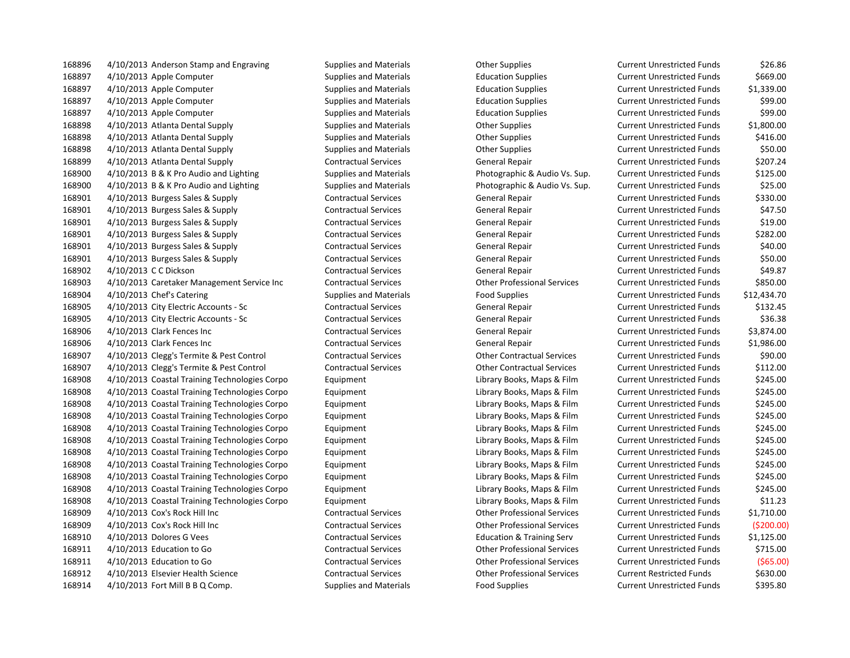168896 4/10/2013 Anderson Stamp and Engraving Supplies and Materials Current Unrestricted Funds 526.86 4/10/2013 Apple Computer Supplies and Materials Education Supplies Current Unrestricted Funds \$669.00 4/10/2013 Apple Computer Supplies and Materials Education Supplies Current Unrestricted Funds \$1,339.00 4/10/2013 Apple Computer Supplies and Materials Education Supplies Current Unrestricted Funds \$99.00 4/10/2013 Apple Computer Supplies and Materials Education Supplies Current Unrestricted Funds \$99.00 4/10/2013 Atlanta Dental Supply Supplies and Materials Other Supplies Current Unrestricted Funds \$1,800.00 4/10/2013 Atlanta Dental Supply Supplies and Materials Other Supplies Current Unrestricted Funds \$416.00 4/10/2013 Atlanta Dental Supply Supplies and Materials Other Supplies Current Unrestricted Funds \$50.00 4/10/2013 Atlanta Dental Supply Contractual Services General Repair Current Unrestricted Funds \$207.24 4/10/2013 B & K Pro Audio and Lighting Supplies and Materials Photographic & Audio Vs. Sup. Current Unrestricted Funds \$125.00 4/10/2013 B & K Pro Audio and Lighting Supplies and Materials Photographic & Audio Vs. Sup. Current Unrestricted Funds \$25.00 4/10/2013 Burgess Sales & Supply Contractual Services General Repair Current Unrestricted Funds \$330.00 4/10/2013 Burgess Sales & Supply Contractual Services General Repair Current Unrestricted Funds \$47.50 4/10/2013 Burgess Sales & Supply Contractual Services General Repair Current Unrestricted Funds \$19.00 4/10/2013 Burgess Sales & Supply Contractual Services General Repair Current Unrestricted Funds \$282.00 4/10/2013 Burgess Sales & Supply Contractual Services General Repair Current Unrestricted Funds \$40.00 4/10/2013 Burgess Sales & Supply Contractual Services General Repair Current Unrestricted Funds \$50.00 4/10/2013 C C Dickson Contractual Services General Repair Current Unrestricted Funds \$49.87 4/10/2013 Caretaker Management Service Inc Contractual Services Other Professional Services Current Unrestricted Funds \$850.00 168904 4/10/2013 Chef's Catering The Supplies and Materials Food Supplies Food Supplies Current Unrestricted Funds \$12,434.70 4/10/2013 City Electric Accounts - Sc Contractual Services General Repair Current Unrestricted Funds \$132.45 4/10/2013 City Electric Accounts - Sc Contractual Services General Repair Current Unrestricted Funds \$36.38 4/10/2013 Clark Fences Inc Contractual Services General Repair Current Unrestricted Funds \$3,874.00 4/10/2013 Clark Fences Inc Contractual Services General Repair Current Unrestricted Funds \$1,986.00 4/10/2013 Clegg's Termite & Pest Control Contractual Services Other Contractual Services Current Unrestricted Funds \$90.00 4/10/2013 Clegg's Termite & Pest Control Contractual Services Other Contractual Services Current Unrestricted Funds \$112.00 4/10/2013 Coastal Training Technologies Corpo Equipment Library Books, Maps & Film Current Unrestricted Funds \$245.00 4/10/2013 Coastal Training Technologies Corpo Equipment Library Books, Maps & Film Current Unrestricted Funds \$245.00 4/10/2013 Coastal Training Technologies Corpo Equipment Library Books, Maps & Film Current Unrestricted Funds \$245.00 4/10/2013 Coastal Training Technologies Corpo Equipment Library Books, Maps & Film Current Unrestricted Funds \$245.00 4/10/2013 Coastal Training Technologies Corpo Equipment Library Books, Maps & Film Current Unrestricted Funds \$245.00 4/10/2013 Coastal Training Technologies Corpo Equipment Library Books, Maps & Film Current Unrestricted Funds \$245.00 4/10/2013 Coastal Training Technologies Corpo Equipment Library Books, Maps & Film Current Unrestricted Funds \$245.00 4/10/2013 Coastal Training Technologies Corpo Equipment Library Books, Maps & Film Current Unrestricted Funds \$245.00 4/10/2013 Coastal Training Technologies Corpo Equipment Library Books, Maps & Film Current Unrestricted Funds \$245.00 4/10/2013 Coastal Training Technologies Corpo Equipment Library Books, Maps & Film Current Unrestricted Funds \$245.00 4/10/2013 Coastal Training Technologies Corpo Equipment Library Books, Maps & Film Current Unrestricted Funds \$11.23 4/10/2013 Cox's Rock Hill Inc Contractual Services Other Professional Services Current Unrestricted Funds \$1,710.00 4/10/2013 Cox's Rock Hill Inc Contractual Services Other Professional Services Current Unrestricted Funds (\$200.00) 4/10/2013 Dolores G Vees Contractual Services Education & Training Serv Current Unrestricted Funds \$1,125.00 4/10/2013 Education to Go Contractual Services Other Professional Services Current Unrestricted Funds \$715.00 4/10/2013 Education to Go Contractual Services Other Professional Services Current Unrestricted Funds (\$65.00) 4/10/2013 Elsevier Health Science Contractual Services Other Professional Services Current Restricted Funds \$630.00 168914 4/10/2013 Fort Mill B B Q Comp. Supplies and Materials Food Supplies Food Supplies Current Unrestricted Funds \$395.80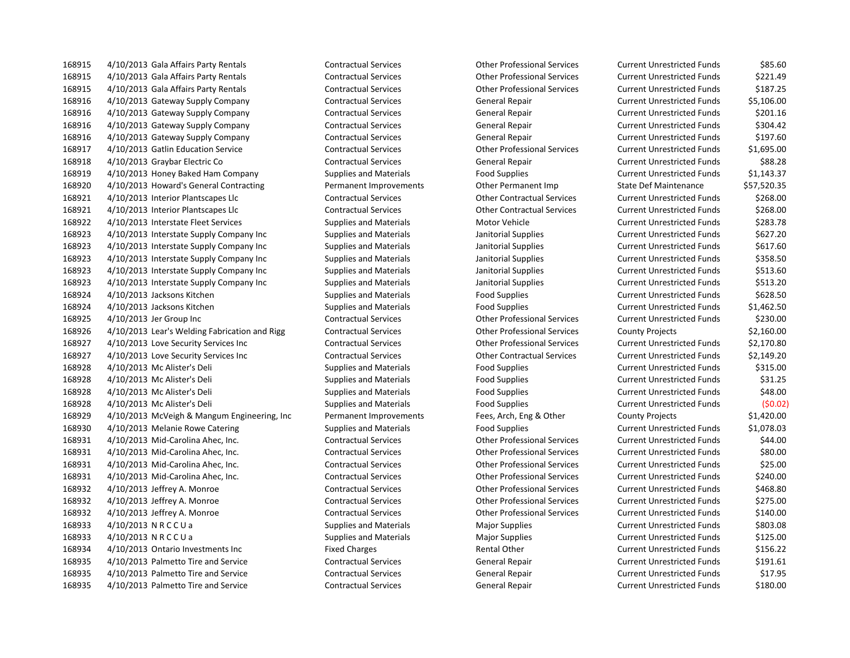4/10/2013 Gala Affairs Party Rentals Contractual Services Other Professional Services Current Unrestricted Funds \$221.49 4/10/2013 Gala Affairs Party Rentals Contractual Services Other Professional Services Current Unrestricted Funds \$187.25 4/10/2013 Gateway Supply Company Contractual Services General Repair Current Unrestricted Funds \$5,106.00 4/10/2013 Gateway Supply Company Contractual Services General Repair Current Unrestricted Funds \$201.16 4/10/2013 Gateway Supply Company Contractual Services General Repair Current Unrestricted Funds \$304.42 4/10/2013 Gateway Supply Company Contractual Services General Repair Current Unrestricted Funds \$197.60 4/10/2013 Gatlin Education Service Contractual Services Other Professional Services Current Unrestricted Funds \$1,695.00 4/10/2013 Graybar Electric Co Contractual Services General Repair Current Unrestricted Funds \$88.28 168919 4/10/2013 Honey Baked Ham Company Supplies and Materials Food Supplies Current Unrestricted Funds \$1,143.37 4/10/2013 Howard's General Contracting Permanent Improvements Other Permanent Imp State Def Maintenance \$57,520.35 4/10/2013 Interior Plantscapes Llc Contractual Services Other Contractual Services Current Unrestricted Funds \$268.00 4/10/2013 Interior Plantscapes Llc Contractual Services Other Contractual Services Current Unrestricted Funds \$268.00 4/10/2013 Interstate Fleet Services Supplies and Materials Motor Vehicle Current Unrestricted Funds \$283.78 168923 4/10/2013 Interstate Supply Company Inc Supplies and Materials Janitorial Supplies Current Unrestricted Funds \$627.20 168923 4/10/2013 Interstate Supply Company Inc Supplies and Materials Janitorial Supplies Current Unrestricted Funds \$617.60 168923 4/10/2013 Interstate Supply Company Inc Supplies and Materials Janitorial Supplies Current Unrestricted Funds \$358.50 168923 4/10/2013 Interstate Supply Company Inc Supplies and Materials Janitorial Supplies Current Unrestricted Funds \$513.60 168923 4/10/2013 Interstate Supply Company Inc Supplies and Materials Janitorial Supplies Current Unrestricted Funds \$513.20 168924 4/10/2013 Jacksons Kitchen Supplies and Materials Food Supplies Food Supplies Current Unrestricted Funds \$628.50 4/10/2013 Jacksons Kitchen Supplies and Materials Food Supplies Current Unrestricted Funds \$1,462.50 4/10/2013 Jer Group Inc Contractual Services Other Professional Services Current Unrestricted Funds \$230.00 4/10/2013 Lear's Welding Fabrication and Rigg Contractual Services Other Professional Services County Projects \$2,160.00 4/10/2013 Love Security Services Inc Contractual Services Other Professional Services Current Unrestricted Funds \$2,170.80 4/10/2013 Love Security Services Inc Contractual Services Other Contractual Services Current Unrestricted Funds \$2,149.20 168928 4/10/2013 Mc Alister's Deli Supplies and Materials Food Supplies Food Supplies Current Unrestricted Funds \$315.00 4/10/2013 Mc Alister's Deli Supplies and Materials Food Supplies Current Unrestricted Funds \$31.25 4/10/2013 Mc Alister's Deli Supplies and Materials Food Supplies Current Unrestricted Funds \$48.00 4/10/2013 Mc Alister's Deli Supplies and Materials Food Supplies Current Unrestricted Funds (\$0.02) 4/10/2013 McVeigh & Mangum Engineering, Inc Permanent Improvements Fees, Arch, Eng & Other County Projects \$1,420.00 168930 4/10/2013 Melanie Rowe Catering Supplies and Materials Food Supplies Food Supplies Current Unrestricted Funds \$1,078.03 4/10/2013 Mid-Carolina Ahec, Inc. Contractual Services Other Professional Services Current Unrestricted Funds \$44.00 4/10/2013 Mid-Carolina Ahec, Inc. Contractual Services Other Professional Services Current Unrestricted Funds \$80.00 4/10/2013 Mid-Carolina Ahec, Inc. Contractual Services Other Professional Services Current Unrestricted Funds \$25.00 4/10/2013 Mid-Carolina Ahec, Inc. Contractual Services Other Professional Services Current Unrestricted Funds \$240.00 4/10/2013 Jeffrey A. Monroe Contractual Services Other Professional Services Current Unrestricted Funds \$468.80 4/10/2013 Jeffrey A. Monroe Contractual Services Other Professional Services Current Unrestricted Funds \$275.00 4/10/2013 Jeffrey A. Monroe Contractual Services Other Professional Services Current Unrestricted Funds \$140.00 168933 4/10/2013 N R C C U a Supplies and Materials Major Supplies Magnet Current Unrestricted Funds 5803.08 168933 4/10/2013 N R C C U a Supplies and Materials Major Supplies Magior Supplies Current Unrestricted Funds \$125.00 4/10/2013 Ontario Investments Inc Fixed Charges Rental Other Current Unrestricted Funds \$156.22 4/10/2013 Palmetto Tire and Service Contractual Services General Repair Current Unrestricted Funds \$191.61 4/10/2013 Palmetto Tire and Service Contractual Services General Repair Current Unrestricted Funds \$17.95 4/10/2013 Palmetto Tire and Service Contractual Services General Repair Current Unrestricted Funds \$180.00

4/10/2013 Gala Affairs Party Rentals Contractual Services Other Professional Services Current Unrestricted Funds \$85.60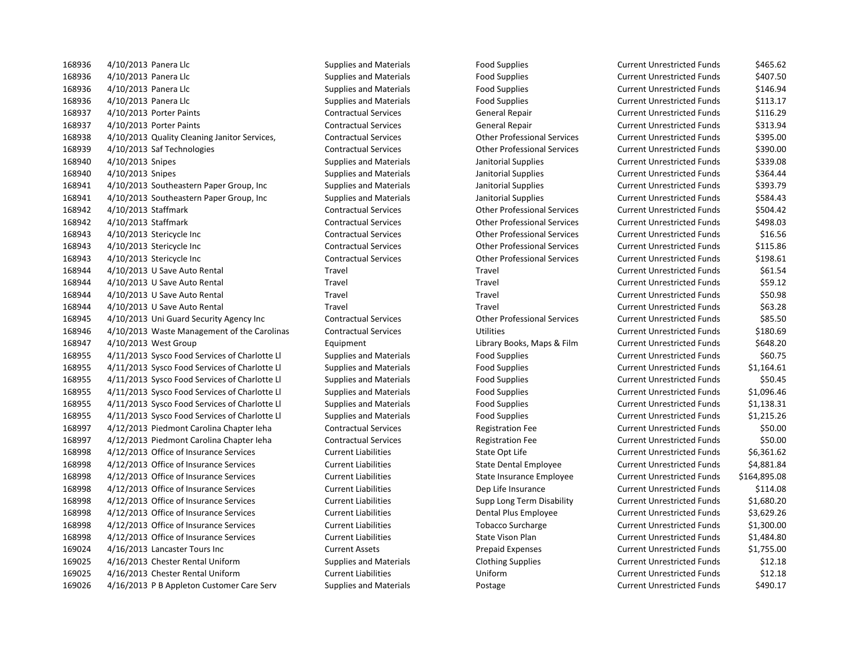168936 4/10/2013 Panera Llc Supplies and Materials Food Supplies Food Supplies Current Unrestricted Funds \$465.62 168936 4/10/2013 Panera Llc Supplies and Materials Food Supplies Food Supplies Current Unrestricted Funds 5407.50 168936 4/10/2013 Panera Llc Supplies and Materials Food Supplies Food Supplies Current Unrestricted Funds 5146.94 168936 4/10/2013 Panera Llc Supplies and Materials Food Supplies Food Supplies Current Unrestricted Funds \$113.17 4/10/2013 Porter Paints Contractual Services General Repair Current Unrestricted Funds \$116.29 4/10/2013 Porter Paints Contractual Services General Repair Current Unrestricted Funds \$313.94 4/10/2013 Quality Cleaning Janitor Services, Contractual Services Other Professional Services Current Unrestricted Funds \$395.00 4/10/2013 Saf Technologies Contractual Services Other Professional Services Current Unrestricted Funds \$390.00 4/10/2013 Snipes Supplies and Materials Janitorial Supplies Current Unrestricted Funds \$339.08 4/10/2013 Snipes Supplies and Materials Janitorial Supplies Current Unrestricted Funds \$364.44 4/10/2013 Southeastern Paper Group, Inc Supplies and Materials Janitorial Supplies Current Unrestricted Funds \$393.79 4/10/2013 Southeastern Paper Group, Inc Supplies and Materials Janitorial Supplies Current Unrestricted Funds \$584.43 4/10/2013 Staffmark Contractual Services Other Professional Services Current Unrestricted Funds \$504.42 4/10/2013 Staffmark Contractual Services Other Professional Services Current Unrestricted Funds \$498.03 4/10/2013 Stericycle Inc Contractual Services Other Professional Services Current Unrestricted Funds \$16.56 4/10/2013 Stericycle Inc Contractual Services Other Professional Services Current Unrestricted Funds \$115.86 4/10/2013 Stericycle Inc Contractual Services Other Professional Services Current Unrestricted Funds \$198.61 4/10/2013 U Save Auto Rental Travel Travel Current Unrestricted Funds \$61.54 4/10/2013 U Save Auto Rental Travel Travel Current Unrestricted Funds \$59.12 4/10/2013 U Save Auto Rental Travel Travel Current Unrestricted Funds \$50.98 4/10/2013 U Save Auto Rental Travel Travel Current Unrestricted Funds \$63.28 4/10/2013 Uni Guard Security Agency Inc Contractual Services Other Professional Services Current Unrestricted Funds \$85.50 4/10/2013 Waste Management of the Carolinas Contractual Services Utilities Current Unrestricted Funds \$180.69 4/10/2013 West Group Equipment Library Books, Maps & Film Current Unrestricted Funds \$648.20 4/11/2013 Sysco Food Services of Charlotte Ll Supplies and Materials Food Supplies Current Unrestricted Funds \$60.75 4/11/2013 Sysco Food Services of Charlotte Ll Supplies and Materials Food Supplies Current Unrestricted Funds \$1,164.61 4/11/2013 Sysco Food Services of Charlotte Ll Supplies and Materials Food Supplies Current Unrestricted Funds \$50.45 4/11/2013 Sysco Food Services of Charlotte Ll Supplies and Materials Food Supplies Current Unrestricted Funds \$1,096.46 4/11/2013 Sysco Food Services of Charlotte Ll Supplies and Materials Food Supplies Current Unrestricted Funds \$1,138.31 168955 4/11/2013 Sysco Food Services of Charlotte Ll Supplies and Materials Food Supplies Current Unrestricted Funds \$1,215.26 4/12/2013 Piedmont Carolina Chapter Ieha Contractual Services Registration Fee Current Unrestricted Funds \$50.00 4/12/2013 Piedmont Carolina Chapter Ieha Contractual Services Registration Fee Current Unrestricted Funds \$50.00 4/12/2013 Office of Insurance Services Current Liabilities State Opt Life Current Unrestricted Funds \$6,361.62 4/12/2013 Office of Insurance Services Current Liabilities State Dental Employee Current Unrestricted Funds \$4,881.84 4/12/2013 Office of Insurance Services Current Liabilities State Insurance Employee Current Unrestricted Funds \$164,895.08 4/12/2013 Office of Insurance Services Current Liabilities Dep Life Insurance Current Unrestricted Funds \$114.08 4/12/2013 Office of Insurance Services Current Liabilities Supp Long Term Disability Current Unrestricted Funds \$1,680.20 4/12/2013 Office of Insurance Services Current Liabilities Dental Plus Employee Current Unrestricted Funds \$3,629.26 4/12/2013 Office of Insurance Services Current Liabilities Tobacco Surcharge Current Unrestricted Funds \$1,300.00 4/12/2013 Office of Insurance Services Current Liabilities State Vison Plan Current Unrestricted Funds \$1,484.80 4/16/2013 Lancaster Tours Inc Current Assets Prepaid Expenses Current Unrestricted Funds \$1,755.00 4/16/2013 Chester Rental Uniform Supplies and Materials Clothing Supplies Current Unrestricted Funds \$12.18 4/16/2013 Chester Rental Uniform Current Liabilities Uniform Current Unrestricted Funds \$12.18 169026 4/16/2013 P B Appleton Customer Care Serv Supplies and Materials Postage Current Unrestricted Funds \$490.17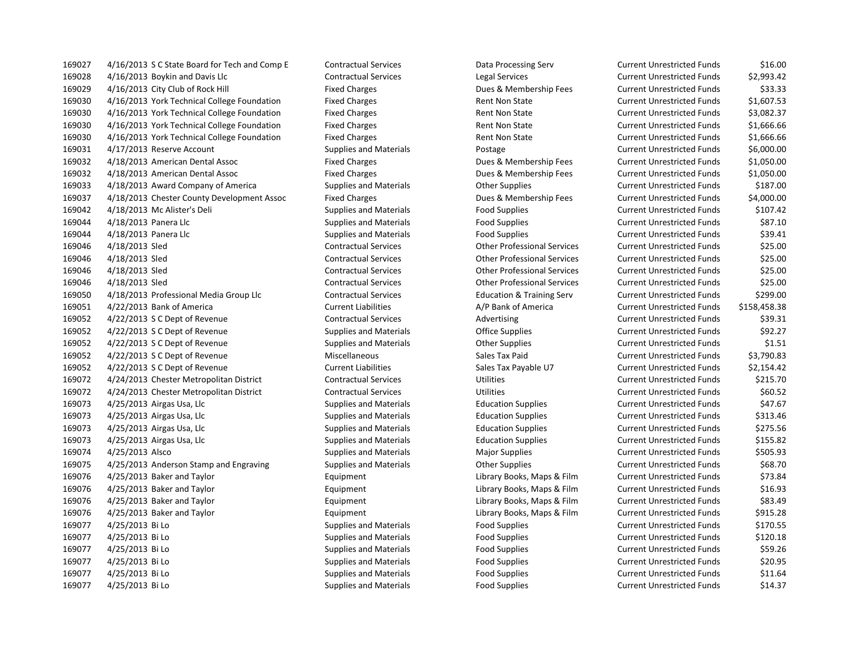4/16/2013 S C State Board for Tech and Comp E Contractual Services Data Processing Serv Current Unrestricted Funds \$16.00 4/16/2013 Boykin and Davis Llc Contractual Services Legal Services Current Unrestricted Funds \$2,993.42 4/16/2013 City Club of Rock Hill Fixed Charges Dues & Membership Fees Current Unrestricted Funds \$33.33 4/16/2013 York Technical College Foundation Fixed Charges Rent Non State Current Unrestricted Funds \$1,607.53 4/16/2013 York Technical College Foundation Fixed Charges Rent Non State Current Unrestricted Funds \$3,082.37 4/16/2013 York Technical College Foundation Fixed Charges Rent Non State Current Unrestricted Funds \$1,666.66 4/16/2013 York Technical College Foundation Fixed Charges Rent Non State Current Unrestricted Funds \$1,666.66 4/17/2013 Reserve Account Supplies and Materials Postage Current Unrestricted Funds \$6,000.00 4/18/2013 American Dental Assoc Fixed Charges Dues & Membership Fees Current Unrestricted Funds \$1,050.00 4/18/2013 American Dental Assoc Fixed Charges Dues & Membership Fees Current Unrestricted Funds \$1,050.00 4/18/2013 Award Company of America Supplies and Materials Other Supplies Current Unrestricted Funds \$187.00 4/18/2013 Chester County Development Assoc Fixed Charges Dues & Membership Fees Current Unrestricted Funds \$4,000.00 4/18/2013 Mc Alister's Deli Supplies and Materials Food Supplies Current Unrestricted Funds \$107.42 4/18/2013 Panera Llc Supplies and Materials Food Supplies Current Unrestricted Funds \$87.10 169044 4/18/2013 Panera Llc **Supplies and Materials** Food Supplies Food Supplies Current Unrestricted Funds 539.41 4/18/2013 Sled Contractual Services Other Professional Services Current Unrestricted Funds \$25.00 4/18/2013 Sled Contractual Services Other Professional Services Current Unrestricted Funds \$25.00 4/18/2013 Sled Contractual Services Other Professional Services Current Unrestricted Funds \$25.00 4/18/2013 Sled Contractual Services Other Professional Services Current Unrestricted Funds \$25.00 4/18/2013 Professional Media Group Llc Contractual Services Education & Training Serv Current Unrestricted Funds \$299.00 4/22/2013 Bank of America Current Liabilities A/P Bank of America Current Unrestricted Funds \$158,458.38 4/22/2013 S C Dept of Revenue Contractual Services Advertising Current Unrestricted Funds \$39.31 169052 4/22/2013 S C Dept of Revenue Supplies and Materials Coffice Supplies Current Unrestricted Funds \$92.27 4/22/2013 S C Dept of Revenue Supplies and Materials Other Supplies Current Unrestricted Funds \$1.51 4/22/2013 S C Dept of Revenue Miscellaneous Sales Tax Paid Current Unrestricted Funds \$3,790.83 4/22/2013 S C Dept of Revenue Current Liabilities Sales Tax Payable U7 Current Unrestricted Funds \$2,154.42 4/24/2013 Chester Metropolitan District Contractual Services Utilities Current Unrestricted Funds \$215.70 4/24/2013 Chester Metropolitan District Contractual Services Utilities Current Unrestricted Funds \$60.52 4/25/2013 Airgas Usa, Llc Supplies and Materials Education Supplies Current Unrestricted Funds \$47.67 4/25/2013 Airgas Usa, Llc Supplies and Materials Education Supplies Current Unrestricted Funds \$313.46 4/25/2013 Airgas Usa, Llc Supplies and Materials Education Supplies Current Unrestricted Funds \$275.56 4/25/2013 Airgas Usa, Llc Supplies and Materials Education Supplies Current Unrestricted Funds \$155.82 169074 4/25/2013 Alsco Supplies and Materials Supplies Major Supplies Current Unrestricted Funds S505.93 169075 4/25/2013 Anderson Stamp and Engraving Supplies and Materials Current Supplies Current Unrestricted Funds \$68.70 4/25/2013 Baker and Taylor Equipment Library Books, Maps & Film Current Unrestricted Funds \$73.84 4/25/2013 Baker and Taylor Equipment Library Books, Maps & Film Current Unrestricted Funds \$16.93 4/25/2013 Baker and Taylor Equipment Library Books, Maps & Film Current Unrestricted Funds \$83.49 4/25/2013 Baker and Taylor Equipment Library Books, Maps & Film Current Unrestricted Funds \$915.28 169077 4/25/2013 Bi Lo Supplies and Materials Food Supplies Food Supplies Current Unrestricted Funds \$170.55 169077 4/25/2013 Bi Lo Supplies and Materials Food Supplies Food Supplies Current Unrestricted Funds \$120.18 169077 4/25/2013 Bi Lo Supplies and Materials Food Supplies Food Supplies Current Unrestricted Funds \$59.26 4/25/2013 Bi Lo Supplies and Materials Food Supplies Current Unrestricted Funds \$20.95 169077 4/25/2013 Bi Lo Supplies and Materials Food Supplies Food Supplies Current Unrestricted Funds \$11.64 169077 4/25/2013 Bi Lo Supplies and Materials Food Supplies Food Supplies Current Unrestricted Funds \$14.37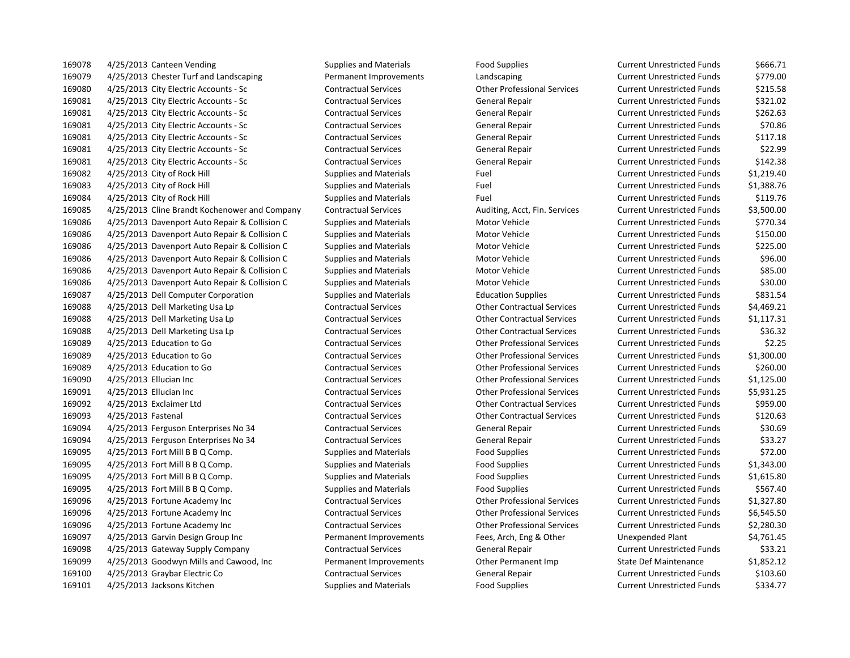169078 4/25/2013 Canteen Vending The Supplies and Materials Food Supplies Food Supplies Current Unrestricted Funds \$666.71 4/25/2013 Chester Turf and Landscaping Permanent Improvements Landscaping Current Unrestricted Funds \$779.00 4/25/2013 City Electric Accounts - Sc Contractual Services Other Professional Services Current Unrestricted Funds \$215.58 4/25/2013 City Electric Accounts - Sc Contractual Services General Repair Current Unrestricted Funds \$321.02 4/25/2013 City Electric Accounts - Sc Contractual Services General Repair Current Unrestricted Funds \$262.63 4/25/2013 City Electric Accounts - Sc Contractual Services General Repair Current Unrestricted Funds \$70.86 4/25/2013 City Electric Accounts - Sc Contractual Services General Repair Current Unrestricted Funds \$117.18 4/25/2013 City Electric Accounts - Sc Contractual Services General Repair Current Unrestricted Funds \$22.99 4/25/2013 City Electric Accounts - Sc Contractual Services General Repair Current Unrestricted Funds \$142.38 4/25/2013 City of Rock Hill Supplies and Materials Fuel Current Unrestricted Funds \$1,219.40 4/25/2013 City of Rock Hill Supplies and Materials Fuel Current Unrestricted Funds \$1,388.76 169084 4/25/2013 City of Rock Hill Supplies and Materials Fuel Fuel Current Unrestricted Funds \$119.76 4/25/2013 Cline Brandt Kochenower and Company Contractual Services Auditing, Acct, Fin. Services Current Unrestricted Funds \$3,500.00 169086 4/25/2013 Davenport Auto Repair & Collision C Supplies and Materials Motor Vehicle Current Unrestricted Funds \$770.34 169086 4/25/2013 Davenport Auto Repair & Collision C Supplies and Materials Motor Vehicle Current Unrestricted Funds \$150.00 169086 4/25/2013 Davenport Auto Repair & Collision C Supplies and Materials Motor Vehicle Current Unrestricted Funds \$225.00 4/25/2013 Davenport Auto Repair & Collision C Supplies and Materials Motor Vehicle Current Unrestricted Funds \$96.00 169086 4/25/2013 Davenport Auto Repair & Collision C Supplies and Materials Motor Vehicle Current Unrestricted Funds \$85.00 4/25/2013 Davenport Auto Repair & Collision C Supplies and Materials Motor Vehicle Current Unrestricted Funds \$30.00 4/25/2013 Dell Computer Corporation Supplies and Materials Education Supplies Current Unrestricted Funds \$831.54 4/25/2013 Dell Marketing Usa Lp Contractual Services Other Contractual Services Current Unrestricted Funds \$4,469.21 4/25/2013 Dell Marketing Usa Lp Contractual Services Other Contractual Services Current Unrestricted Funds \$1,117.31 4/25/2013 Dell Marketing Usa Lp Contractual Services Other Contractual Services Current Unrestricted Funds \$36.32 4/25/2013 Education to Go Contractual Services Other Professional Services Current Unrestricted Funds \$2.25 4/25/2013 Education to Go Contractual Services Other Professional Services Current Unrestricted Funds \$1,300.00 4/25/2013 Education to Go Contractual Services Other Professional Services Current Unrestricted Funds \$260.00 4/25/2013 Ellucian Inc Contractual Services Other Professional Services Current Unrestricted Funds \$1,125.00 4/25/2013 Ellucian Inc Contractual Services Other Professional Services Current Unrestricted Funds \$5,931.25 4/25/2013 Exclaimer Ltd Contractual Services Other Contractual Services Current Unrestricted Funds \$959.00 4/25/2013 Fastenal Contractual Services Other Contractual Services Current Unrestricted Funds \$120.63 4/25/2013 Ferguson Enterprises No 34 Contractual Services General Repair Current Unrestricted Funds \$30.69 4/25/2013 Ferguson Enterprises No 34 Contractual Services General Repair Current Unrestricted Funds \$33.27 4/25/2013 Fort Mill B B Q Comp. Supplies and Materials Food Supplies Current Unrestricted Funds \$72.00 169095 4/25/2013 Fort Mill B B Q Comp. Supplies and Materials Food Supplies Current Unrestricted Funds \$1,343.00 169095 4/25/2013 Fort Mill B B Q Comp. Supplies and Materials Food Supplies Current Unrestricted Funds \$1,615.80 169095 4/25/2013 Fort Mill B B Q Comp. Supplies and Materials Food Supplies Current Unrestricted Funds 5567.40 4/25/2013 Fortune Academy Inc Contractual Services Other Professional Services Current Unrestricted Funds \$1,327.80 4/25/2013 Fortune Academy Inc Contractual Services Other Professional Services Current Unrestricted Funds \$6,545.50 4/25/2013 Fortune Academy Inc Contractual Services Other Professional Services Current Unrestricted Funds \$2,280.30 4/25/2013 Garvin Design Group Inc Permanent Improvements Fees, Arch, Eng & Other Unexpended Plant \$4,761.45 4/25/2013 Gateway Supply Company Contractual Services General Repair Current Unrestricted Funds \$33.21 4/25/2013 Goodwyn Mills and Cawood, Inc Permanent Improvements Other Permanent Imp State Def Maintenance \$1,852.12 4/25/2013 Graybar Electric Co Contractual Services General Repair Current Unrestricted Funds \$103.60 169101 4/25/2013 Jacksons Kitchen Supplies and Materials Food Supplies Food Supplies Current Unrestricted Funds \$334.77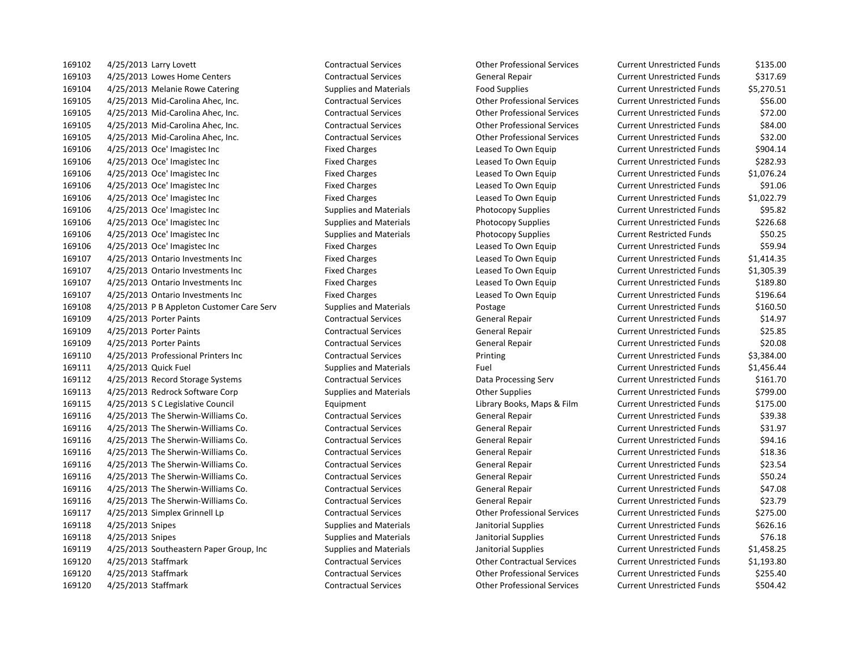4/25/2013 Larry Lovett Contractual Services Other Professional Services Current Unrestricted Funds \$135.00 4/25/2013 Lowes Home Centers Contractual Services General Repair Current Unrestricted Funds \$317.69 169104 4/25/2013 Melanie Rowe Catering Supplies and Materials Food Supplies Food Supplies Current Unrestricted Funds \$5,270.51 4/25/2013 Mid-Carolina Ahec, Inc. Contractual Services Other Professional Services Current Unrestricted Funds \$56.00 4/25/2013 Mid-Carolina Ahec, Inc. Contractual Services Other Professional Services Current Unrestricted Funds \$72.00 4/25/2013 Mid-Carolina Ahec, Inc. Contractual Services Other Professional Services Current Unrestricted Funds \$84.00 4/25/2013 Mid-Carolina Ahec, Inc. Contractual Services Other Professional Services Current Unrestricted Funds \$32.00 4/25/2013 Oce' Imagistec Inc Fixed Charges Leased To Own Equip Current Unrestricted Funds \$904.14 4/25/2013 Oce' Imagistec Inc Fixed Charges Leased To Own Equip Current Unrestricted Funds \$282.93 4/25/2013 Oce' Imagistec Inc Fixed Charges Leased To Own Equip Current Unrestricted Funds \$1,076.24 4/25/2013 Oce' Imagistec Inc Fixed Charges Leased To Own Equip Current Unrestricted Funds \$91.06 4/25/2013 Oce' Imagistec Inc Fixed Charges Leased To Own Equip Current Unrestricted Funds \$1,022.79 4/25/2013 Oce' Imagistec Inc Supplies and Materials Photocopy Supplies Current Unrestricted Funds \$95.82 4/25/2013 Oce' Imagistec Inc Supplies and Materials Photocopy Supplies Current Unrestricted Funds \$226.68 4/25/2013 Oce' Imagistec Inc Supplies and Materials Photocopy Supplies Current Restricted Funds \$50.25 4/25/2013 Oce' Imagistec Inc Fixed Charges Leased To Own Equip Current Unrestricted Funds \$59.94 4/25/2013 Ontario Investments Inc Fixed Charges Leased To Own Equip Current Unrestricted Funds \$1,414.35 4/25/2013 Ontario Investments Inc Fixed Charges Leased To Own Equip Current Unrestricted Funds \$1,305.39 4/25/2013 Ontario Investments Inc Fixed Charges Leased To Own Equip Current Unrestricted Funds \$189.80 4/25/2013 Ontario Investments Inc Fixed Charges Leased To Own Equip Current Unrestricted Funds \$196.64 4/25/2013 P B Appleton Customer Care Serv Supplies and Materials Postage Current Unrestricted Funds \$160.50 4/25/2013 Porter Paints Contractual Services General Repair Current Unrestricted Funds \$14.97 4/25/2013 Porter Paints Contractual Services General Repair Current Unrestricted Funds \$25.85 4/25/2013 Porter Paints Contractual Services General Repair Current Unrestricted Funds \$20.08 4/25/2013 Professional Printers Inc Contractual Services Printing Current Unrestricted Funds \$3,384.00 4/25/2013 Quick Fuel Supplies and Materials Fuel Current Unrestricted Funds \$1,456.44 4/25/2013 Record Storage Systems Contractual Services Data Processing Serv Current Unrestricted Funds \$161.70 4/25/2013 Redrock Software Corp Supplies and Materials Other Supplies Current Unrestricted Funds \$799.00 4/25/2013 S C Legislative Council Equipment Library Books, Maps & Film Current Unrestricted Funds \$175.00 4/25/2013 The Sherwin-Williams Co. Contractual Services General Repair Current Unrestricted Funds \$39.38 4/25/2013 The Sherwin-Williams Co. Contractual Services General Repair Current Unrestricted Funds \$31.97 4/25/2013 The Sherwin-Williams Co. Contractual Services General Repair Current Unrestricted Funds \$94.16 4/25/2013 The Sherwin-Williams Co. Contractual Services General Repair Current Unrestricted Funds \$18.36 4/25/2013 The Sherwin-Williams Co. Contractual Services General Repair Current Unrestricted Funds \$23.54 4/25/2013 The Sherwin-Williams Co. Contractual Services General Repair Current Unrestricted Funds \$50.24 4/25/2013 The Sherwin-Williams Co. Contractual Services General Repair Current Unrestricted Funds \$47.08 4/25/2013 The Sherwin-Williams Co. Contractual Services General Repair Current Unrestricted Funds \$23.79 4/25/2013 Simplex Grinnell Lp Contractual Services Other Professional Services Current Unrestricted Funds \$275.00 4/25/2013 Snipes Supplies and Materials Janitorial Supplies Current Unrestricted Funds \$626.16 4/25/2013 Snipes Supplies and Materials Janitorial Supplies Current Unrestricted Funds \$76.18 4/25/2013 Southeastern Paper Group, Inc Supplies and Materials Janitorial Supplies Current Unrestricted Funds \$1,458.25 4/25/2013 Staffmark Contractual Services Other Contractual Services Current Unrestricted Funds \$1,193.80 4/25/2013 Staffmark Contractual Services Other Professional Services Current Unrestricted Funds \$255.40 4/25/2013 Staffmark Contractual Services Other Professional Services Current Unrestricted Funds \$504.42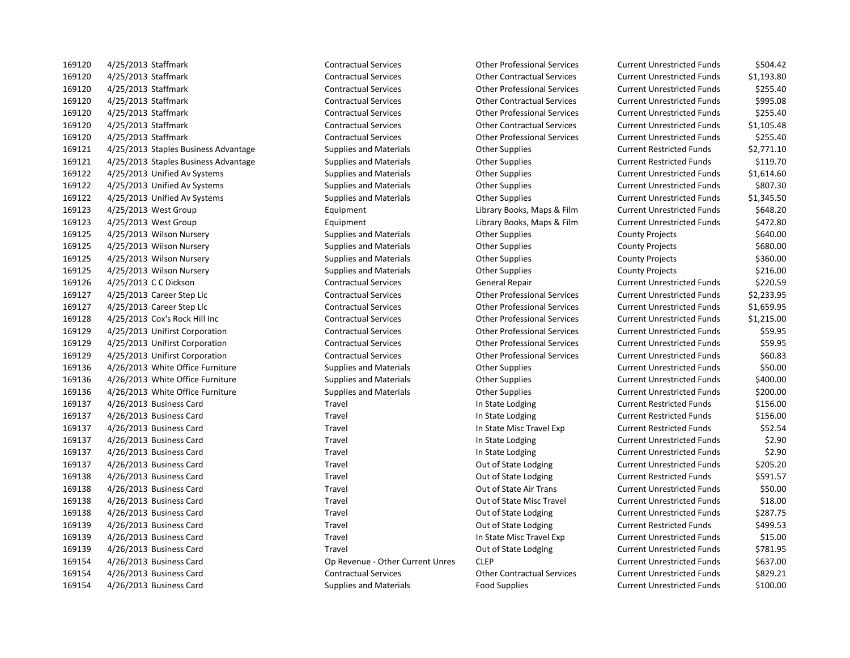4/25/2013 Staffmark Contractual Services Other Contractual Services Current Unrestricted Funds \$1,193.80 4/25/2013 Staffmark Contractual Services Other Professional Services Current Unrestricted Funds \$255.40 4/25/2013 Staffmark Contractual Services Other Contractual Services Current Unrestricted Funds \$995.08 4/25/2013 Staffmark Contractual Services Other Professional Services Current Unrestricted Funds \$255.40 4/25/2013 Staffmark Contractual Services Other Contractual Services Current Unrestricted Funds \$1,105.48 4/25/2013 Staffmark Contractual Services Other Professional Services Current Unrestricted Funds \$255.40 4/25/2013 Staples Business Advantage Supplies and Materials Other Supplies Current Restricted Funds \$2,771.10 169121 4/25/2013 Staples Business Advantage Supplies and Materials Current Restricted Funds Supplies Advantage Supplies and Materials Current Restricted Funds States States States of the Supplies and Materials Current Rest 4/25/2013 Unified Av Systems Supplies and Materials Other Supplies Current Unrestricted Funds \$1,614.60 4/25/2013 Unified Av Systems Supplies and Materials Other Supplies Current Unrestricted Funds \$807.30 4/25/2013 Unified Av Systems Supplies and Materials Other Supplies Current Unrestricted Funds \$1,345.50 4/25/2013 West Group Equipment Library Books, Maps & Film Current Unrestricted Funds \$648.20 4/25/2013 West Group Equipment Library Books, Maps & Film Current Unrestricted Funds \$472.80 169125 4/25/2013 Wilson Nursery **Supplies and Materials** Other Supplies County Projects \$640.00 169125 4/25/2013 Wilson Nursery **Supplies and Materials** County Projects County Projects \$680.00 169125 4/25/2013 Wilson Nursery **Supplies and Materials** County Projects County Projects \$360.00 169125 4/25/2013 Wilson Nursery **Supplies and Materials** Other Supplies County Projects \$216.00 4/25/2013 C C Dickson Contractual Services General Repair Current Unrestricted Funds \$220.59 4/25/2013 Career Step Llc Contractual Services Other Professional Services Current Unrestricted Funds \$2,233.95 4/25/2013 Career Step Llc Contractual Services Other Professional Services Current Unrestricted Funds \$1,659.95 4/25/2013 Cox's Rock Hill Inc Contractual Services Other Professional Services Current Unrestricted Funds \$1,215.00 4/25/2013 Unifirst Corporation Contractual Services Other Professional Services Current Unrestricted Funds \$59.95 4/25/2013 Unifirst Corporation Contractual Services Other Professional Services Current Unrestricted Funds \$59.95 4/25/2013 Unifirst Corporation Contractual Services Other Professional Services Current Unrestricted Funds \$60.83 4/26/2013 White Office Furniture Supplies and Materials Other Supplies Current Unrestricted Funds \$50.00 169136 4/26/2013 White Office Furniture Supplies and Materials Current Unrestricted Funds 5400.00 4/26/2013 White Office Furniture Supplies and Materials Other Supplies Current Unrestricted Funds \$200.00 4/26/2013 Business Card Travel In State Lodging Current Restricted Funds \$156.00 4/26/2013 Business Card Travel In State Lodging Current Restricted Funds \$156.00 4/26/2013 Business Card Travel In State Misc Travel Exp Current Restricted Funds \$52.54 4/26/2013 Business Card Travel In State Lodging Current Unrestricted Funds \$2.90 4/26/2013 Business Card Travel In State Lodging Current Unrestricted Funds \$2.90 4/26/2013 Business Card Travel Out of State Lodging Current Unrestricted Funds \$205.20 4/26/2013 Business Card Travel Out of State Lodging Current Restricted Funds \$591.57 4/26/2013 Business Card Travel Out of State Air Trans Current Unrestricted Funds \$50.00 4/26/2013 Business Card Travel Out of State Misc Travel Current Unrestricted Funds \$18.00 4/26/2013 Business Card Travel Out of State Lodging Current Unrestricted Funds \$287.75 4/26/2013 Business Card Travel Out of State Lodging Current Restricted Funds \$499.53 4/26/2013 Business Card Travel In State Misc Travel Exp Current Unrestricted Funds \$15.00 4/26/2013 Business Card Travel Out of State Lodging Current Unrestricted Funds \$781.95 4/26/2013 Business Card Op Revenue - Other Current Unres CLEP Current Unrestricted Funds \$637.00 4/26/2013 Business Card Contractual Services Other Contractual Services Current Unrestricted Funds \$829.21 4/26/2013 Business Card Supplies and Materials Food Supplies Current Unrestricted Funds \$100.00

4/25/2013 Staffmark Contractual Services Other Professional Services Current Unrestricted Funds \$504.42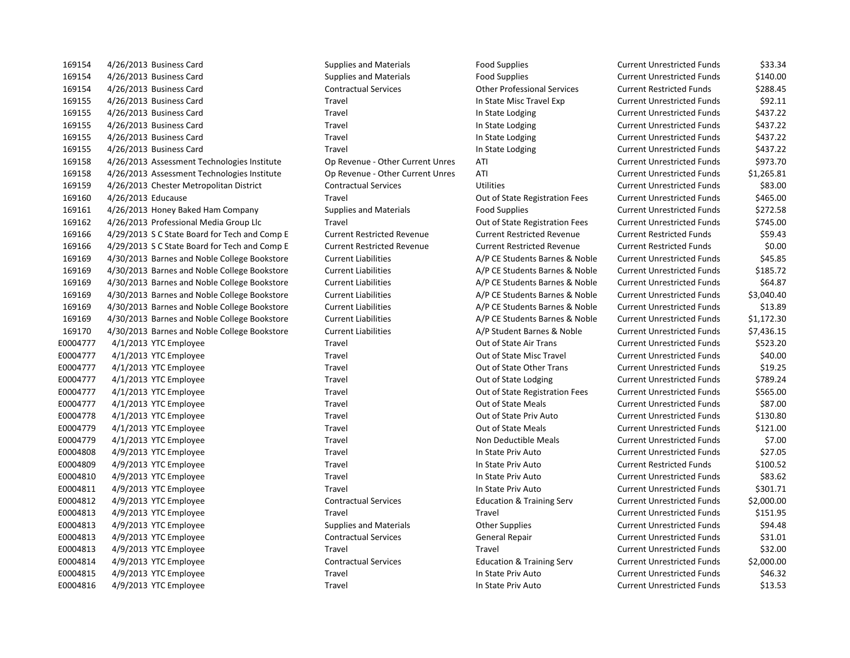169154 4/26/2013 Business Card Supplies and Materials Food Supplies Current Unrestricted Funds \$33.34 169154 4/26/2013 Business Card Supplies and Materials Food Supplies Current Unrestricted Funds \$140.00 169154 4/26/2013 Business Card Contractual Services Other Professional Services Current Restricted Funds \$288.45 169155 4/26/2013 Business Card Travel In State Misc Travel Exp Current Unrestricted Funds \$92.11 169155 4/26/2013 Business Card Travel In State Lodging Current Unrestricted Funds \$437.22 169155 4/26/2013 Business Card Travel In State Lodging Current Unrestricted Funds \$437.22 169155 4/26/2013 Business Card Travel In State Lodging Current Unrestricted Funds \$437.22 169155 4/26/2013 Business Card Travel In State Lodging Current Unrestricted Funds \$437.22 169158 4/26/2013 Assessment Technologies Institute Op Revenue - Other Current Unres ATI Current Unrestricted Funds \$973.70 169158 4/26/2013 Assessment Technologies Institute Op Revenue - Other Current Unres ATI Current Unrestricted Funds \$1,265.81 169159 4/26/2013 Chester Metropolitan District Contractual Services Utilities Current Unrestricted Funds \$83.00 169160 4/26/2013 Educause Travel Out of State Registration Fees Current Unrestricted Funds \$465.00 169161 4/26/2013 Honey Baked Ham Company Supplies and Materials Food Supplies Current Unrestricted Funds \$272.58 169162 4/26/2013 Professional Media Group Llc Travel Out of State Registration Fees Current Unrestricted Funds \$745.00 169166 4/29/2013 S C State Board for Tech and Comp E Current Restricted Revenue Current Restricted Revenue Current Restricted Funds \$59.43 169166 4/29/2013 S C State Board for Tech and Comp E Current Restricted Revenue Current Restricted Revenue Current Restricted Funds \$0.00 169169 4/30/2013 Barnes and Noble College Bookstore Current Liabilities A/P CE Students Barnes & Noble Current Unrestricted Funds \$45.85 169169 4/30/2013 Barnes and Noble College Bookstore Current Liabilities A/P CE Students Barnes & Noble Current Unrestricted Funds \$185.72 169169 4/30/2013 Barnes and Noble College Bookstore Current Liabilities A/P CE Students Barnes & Noble Current Unrestricted Funds \$64.87 169169 4/30/2013 Barnes and Noble College Bookstore Current Liabilities A/P CE Students Barnes & Noble Current Unrestricted Funds \$3,040.40 169169 4/30/2013 Barnes and Noble College Bookstore Current Liabilities A/P CE Students Barnes & Noble Current Unrestricted Funds \$13.89 169169 4/30/2013 Barnes and Noble College Bookstore Current Liabilities A/P CE Students Barnes & Noble Current Unrestricted Funds \$1,172.30 169170 4/30/2013 Barnes and Noble College Bookstore Current Liabilities A/P Student Barnes & Noble Current Unrestricted Funds \$7,436.15 E0004777 4/1/2013 YTC Employee Travel Travel Travel Cut of State Air Trans Current Unrestricted Funds \$523.20 E0004777 4/1/2013 YTC Employee Travel Travel Travel Cut of State Misc Travel Current Unrestricted Funds \$40.00 E0004777 4/1/2013 YTC Employee Travel Travel Travel Cut of State Other Trans Current Unrestricted Funds \$19.25 E0004777 4/1/2013 YTC Employee Travel Travel Travel Cut of State Lodging Current Unrestricted Funds \$789.24 E0004777 4/1/2013 YTC Employee Travel Travel Travel Current Current Unrestricted Funds \$565.00 E0004777 4/1/2013 YTC Employee Travel Travel Travel Out of State Meals Current Unrestricted Funds \$87.00 E0004778 4/1/2013 YTC Employee Travel Travel Travel Cut of State Priv Auto Current Unrestricted Funds \$130.80 E0004779 4/1/2013 YTC Employee Travel Travel Travel Out of State Meals Current Unrestricted Funds \$121.00 E0004779 4/1/2013 YTC Employee Travel Travel Travel Non Deductible Meals Current Unrestricted Funds \$7.00 E0004808 4/9/2013 YTC Employee Travel Travel Travel In State Priv Auto Current Unrestricted Funds \$27.05 E0004809 4/9/2013 YTC Employee Travel Travel Travel Travel In State Priv Auto Current Restricted Funds \$100.52 E0004810 4/9/2013 YTC Employee Travel Travel Travel Travel In State Priv Auto Current Unrestricted Funds \$83.62 E0004811 4/9/2013 YTC Employee Travel Travel Travel In State Priv Auto Current Unrestricted Funds \$301.71 E0004812 4/9/2013 YTC Employee Contractual Services Education & Training Serv Current Unrestricted Funds \$2,000.00 E0004813 4/9/2013 YTC Employee Travel Travel Current Unrestricted Funds \$151.95 E0004813 4/9/2013 YTC Employee Supplies and Materials Other Supplies Current Unrestricted Funds \$94.48 E0004813 4/9/2013 YTC Employee Contractual Services General Repair Current Unrestricted Funds \$31.01 E0004813 4/9/2013 YTC Employee Travel Travel Current Unrestricted Funds \$32.00 E0004814 4/9/2013 YTC Employee Contractual Services Education & Training Serv Current Unrestricted Funds \$2,000.00 E0004815 4/9/2013 YTC Employee Travel Travel Travel In State Priv Auto Current Unrestricted Funds \$46.32 E0004816 4/9/2013 YTC Employee Travel Travel Travel In State Priv Auto Current Unrestricted Funds \$13.53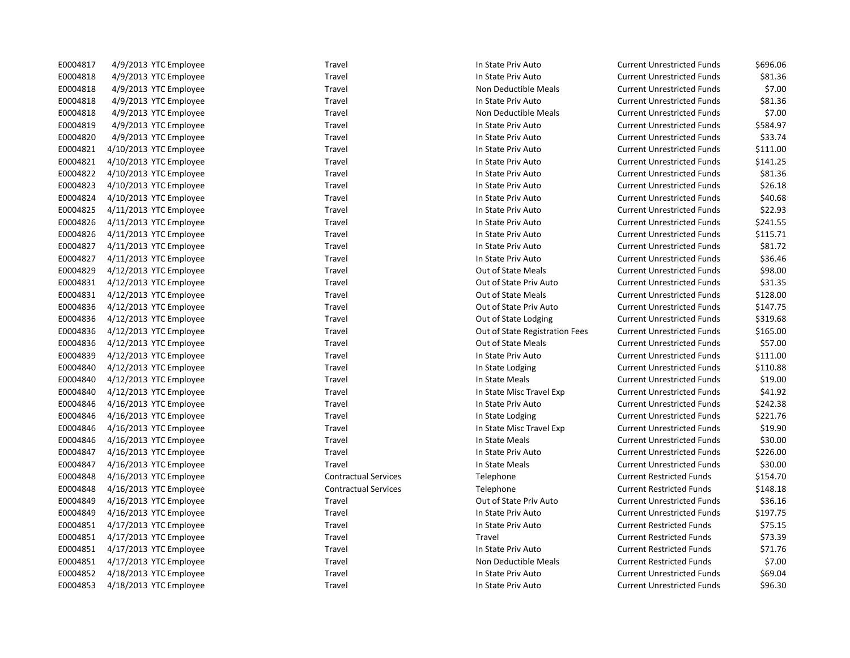| E0004817 | 4/9/2013 YTC Employee  | Travel                      | In State Priv Auto             | <b>Current Unrestricted Funds</b> | \$696.06 |
|----------|------------------------|-----------------------------|--------------------------------|-----------------------------------|----------|
| E0004818 | 4/9/2013 YTC Employee  | Travel                      | In State Priv Auto             | <b>Current Unrestricted Funds</b> | \$81.36  |
| E0004818 | 4/9/2013 YTC Employee  | Travel                      | Non Deductible Meals           | <b>Current Unrestricted Funds</b> | \$7.00   |
| E0004818 | 4/9/2013 YTC Employee  | Travel                      | In State Priv Auto             | <b>Current Unrestricted Funds</b> | \$81.36  |
| E0004818 | 4/9/2013 YTC Employee  | Travel                      | Non Deductible Meals           | <b>Current Unrestricted Funds</b> | \$7.00   |
| E0004819 | 4/9/2013 YTC Employee  | Travel                      | In State Priv Auto             | <b>Current Unrestricted Funds</b> | \$584.97 |
| E0004820 | 4/9/2013 YTC Employee  | Travel                      | In State Priv Auto             | <b>Current Unrestricted Funds</b> | \$33.74  |
| E0004821 | 4/10/2013 YTC Employee | Travel                      | In State Priv Auto             | <b>Current Unrestricted Funds</b> | \$111.00 |
| E0004821 | 4/10/2013 YTC Employee | Travel                      | In State Priv Auto             | <b>Current Unrestricted Funds</b> | \$141.25 |
| E0004822 | 4/10/2013 YTC Employee | Travel                      | In State Priv Auto             | <b>Current Unrestricted Funds</b> | \$81.36  |
| E0004823 | 4/10/2013 YTC Employee | Travel                      | In State Priv Auto             | <b>Current Unrestricted Funds</b> | \$26.18  |
| E0004824 | 4/10/2013 YTC Employee | Travel                      | In State Priv Auto             | <b>Current Unrestricted Funds</b> | \$40.68  |
| E0004825 | 4/11/2013 YTC Employee | Travel                      | In State Priv Auto             | <b>Current Unrestricted Funds</b> | \$22.93  |
| E0004826 | 4/11/2013 YTC Employee | Travel                      | In State Priv Auto             | <b>Current Unrestricted Funds</b> | \$241.55 |
| E0004826 | 4/11/2013 YTC Employee | Travel                      | In State Priv Auto             | <b>Current Unrestricted Funds</b> | \$115.71 |
| E0004827 | 4/11/2013 YTC Employee | Travel                      | In State Priv Auto             | <b>Current Unrestricted Funds</b> | \$81.72  |
| E0004827 | 4/11/2013 YTC Employee | Travel                      | In State Priv Auto             | <b>Current Unrestricted Funds</b> | \$36.46  |
| E0004829 | 4/12/2013 YTC Employee | Travel                      | Out of State Meals             | <b>Current Unrestricted Funds</b> | \$98.00  |
| E0004831 | 4/12/2013 YTC Employee | Travel                      | Out of State Priv Auto         | <b>Current Unrestricted Funds</b> | \$31.35  |
| E0004831 | 4/12/2013 YTC Employee | Travel                      | Out of State Meals             | <b>Current Unrestricted Funds</b> | \$128.00 |
| E0004836 | 4/12/2013 YTC Employee | Travel                      | Out of State Priv Auto         | <b>Current Unrestricted Funds</b> | \$147.75 |
| E0004836 | 4/12/2013 YTC Employee | Travel                      | Out of State Lodging           | <b>Current Unrestricted Funds</b> | \$319.68 |
| E0004836 | 4/12/2013 YTC Employee | Travel                      | Out of State Registration Fees | <b>Current Unrestricted Funds</b> | \$165.00 |
| E0004836 | 4/12/2013 YTC Employee | Travel                      | Out of State Meals             | <b>Current Unrestricted Funds</b> | \$57.00  |
| E0004839 | 4/12/2013 YTC Employee | Travel                      | In State Priv Auto             | <b>Current Unrestricted Funds</b> | \$111.00 |
| E0004840 | 4/12/2013 YTC Employee | Travel                      | In State Lodging               | <b>Current Unrestricted Funds</b> | \$110.88 |
| E0004840 | 4/12/2013 YTC Employee | Travel                      | In State Meals                 | <b>Current Unrestricted Funds</b> | \$19.00  |
| E0004840 | 4/12/2013 YTC Employee | Travel                      | In State Misc Travel Exp       | <b>Current Unrestricted Funds</b> | \$41.92  |
| E0004846 | 4/16/2013 YTC Employee | Travel                      | In State Priv Auto             | <b>Current Unrestricted Funds</b> | \$242.38 |
| E0004846 | 4/16/2013 YTC Employee | Travel                      | In State Lodging               | <b>Current Unrestricted Funds</b> | \$221.76 |
| E0004846 | 4/16/2013 YTC Employee | Travel                      | In State Misc Travel Exp       | <b>Current Unrestricted Funds</b> | \$19.90  |
| E0004846 | 4/16/2013 YTC Employee | Travel                      | In State Meals                 | <b>Current Unrestricted Funds</b> | \$30.00  |
| E0004847 | 4/16/2013 YTC Employee | Travel                      | In State Priv Auto             | <b>Current Unrestricted Funds</b> | \$226.00 |
| E0004847 | 4/16/2013 YTC Employee | Travel                      | In State Meals                 | <b>Current Unrestricted Funds</b> | \$30.00  |
| E0004848 | 4/16/2013 YTC Employee | <b>Contractual Services</b> | Telephone                      | <b>Current Restricted Funds</b>   | \$154.70 |
| E0004848 | 4/16/2013 YTC Employee | <b>Contractual Services</b> | Telephone                      | <b>Current Restricted Funds</b>   | \$148.18 |
| E0004849 | 4/16/2013 YTC Employee | Travel                      | Out of State Priv Auto         | <b>Current Unrestricted Funds</b> | \$36.16  |
| E0004849 | 4/16/2013 YTC Employee | Travel                      | In State Priv Auto             | <b>Current Unrestricted Funds</b> | \$197.75 |
| E0004851 | 4/17/2013 YTC Employee | Travel                      | In State Priv Auto             | <b>Current Restricted Funds</b>   | \$75.15  |
| E0004851 | 4/17/2013 YTC Employee | Travel                      | Travel                         | <b>Current Restricted Funds</b>   | \$73.39  |
| E0004851 | 4/17/2013 YTC Employee | Travel                      | In State Priv Auto             | <b>Current Restricted Funds</b>   | \$71.76  |
| E0004851 | 4/17/2013 YTC Employee | Travel                      | Non Deductible Meals           | <b>Current Restricted Funds</b>   | \$7.00   |
| E0004852 | 4/18/2013 YTC Employee | Travel                      | In State Priv Auto             | <b>Current Unrestricted Funds</b> | \$69.04  |
| E0004853 | 4/18/2013 YTC Employee | Travel                      | In State Priv Auto             | <b>Current Unrestricted Funds</b> | \$96.30  |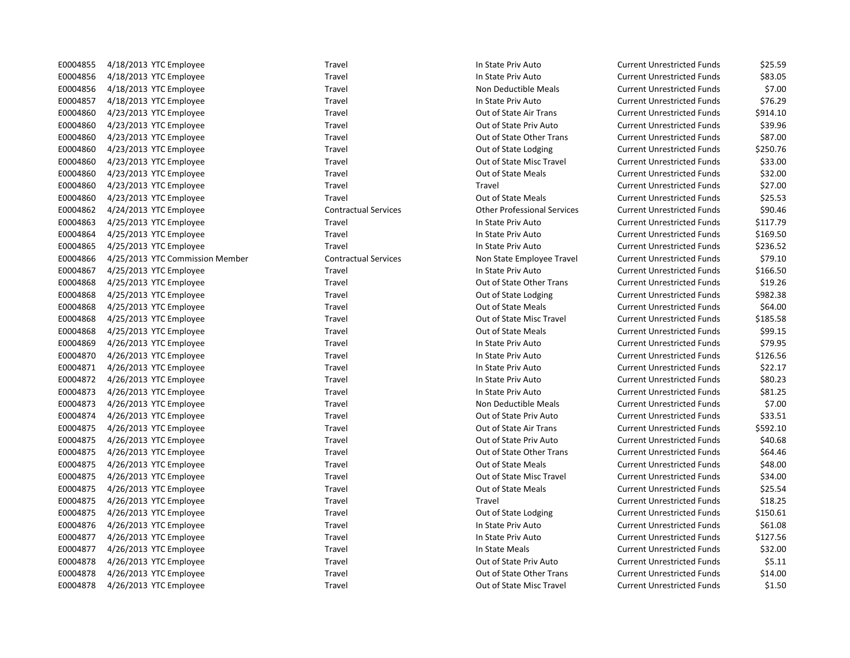E0004855 4/18/2013 YTC Employee Travel Travel Travel In State Priv Auto Current Unrestricted Funds \$25.59 E0004856 4/18/2013 YTC Employee Travel Travel Travel In State Priv Auto Current Unrestricted Funds \$83.05 E0004856 4/18/2013 YTC Employee Travel Travel Travel Non Deductible Meals Current Unrestricted Funds \$7.00 E0004857 4/18/2013 YTC Employee Travel Travel Travel In State Priv Auto Current Unrestricted Funds \$76.29 E0004860 4/23/2013 YTC Employee Travel Travel Travel Cut of State Air Trans Current Unrestricted Funds \$914.10 E0004860 4/23/2013 YTC Employee Travel Travel Travel Cut of State Priv Auto Current Unrestricted Funds \$39.96 E0004860 4/23/2013 YTC Employee Travel Travel Travel Cut of State Other Trans Current Unrestricted Funds \$87.00 E0004860 4/23/2013 YTC Employee Travel Travel Travel Cut of State Lodging Current Unrestricted Funds \$250.76 E0004860 4/23/2013 YTC Employee Travel Travel Travel Cut of State Misc Travel Current Unrestricted Funds \$33.00 E0004860 4/23/2013 YTC Employee Travel Travel Travel Cut of State Meals Current Unrestricted Funds \$32.00 E0004860 4/23/2013 YTC Employee Travel Travel Current Unrestricted Funds \$27.00 E0004860 4/23/2013 YTC Employee Travel Travel Travel Cut of State Meals Current Unrestricted Funds \$25.53 E0004862 4/24/2013 YTC Employee Contractual Services Other Professional Services Current Unrestricted Funds \$90.46 E0004863 4/25/2013 YTC Employee Travel Travel Travel Travel In State Priv Auto Current Unrestricted Funds \$117.79 E0004864 4/25/2013 YTC Employee Travel Travel Travel In State Priv Auto Current Unrestricted Funds \$169.50 E0004865 4/25/2013 YTC Employee Travel Travel Travel In State Priv Auto Current Unrestricted Funds \$236.52 E0004866 4/25/2013 YTC Commission Member Contractual Services Non State Employee Travel Current Unrestricted Funds \$79.10 E0004867 4/25/2013 YTC Employee Travel Travel Travel In State Priv Auto Current Unrestricted Funds \$166.50 E0004868 4/25/2013 YTC Employee Travel Travel Travel Out of State Other Trans Current Unrestricted Funds \$19.26 E0004868 4/25/2013 YTC Employee Travel Travel Travel Cut of State Lodging Current Unrestricted Funds \$982.38 E0004868 4/25/2013 YTC Employee Travel Travel Travel Cut of State Meals Current Unrestricted Funds \$64.00 E0004868 4/25/2013 YTC Employee Travel Travel Travel Cut of State Misc Travel Current Unrestricted Funds \$185.58 E0004868 4/25/2013 YTC Employee Travel Travel Travel Cut of State Meals Current Unrestricted Funds \$99.15 E0004869 4/26/2013 YTC Employee Travel Travel Travel In State Priv Auto Current Unrestricted Funds \$79.95 E0004870 4/26/2013 YTC Employee Travel Travel Travel In State Priv Auto Current Unrestricted Funds \$126.56 E0004871 4/26/2013 YTC Employee Travel Travel Travel In State Priv Auto Current Unrestricted Funds \$22.17 E0004872 4/26/2013 YTC Employee Travel Travel Travel In State Priv Auto Current Unrestricted Funds \$80.23 E0004873 4/26/2013 YTC Employee Travel Travel Travel In State Priv Auto Current Unrestricted Funds \$81.25 E0004873 4/26/2013 YTC Employee Travel Travel Travel Non Deductible Meals Current Unrestricted Funds \$7.00 E0004874 4/26/2013 YTC Employee Travel Travel Travel Cut of State Priv Auto Current Unrestricted Funds \$33.51 E0004875 4/26/2013 YTC Employee Travel Travel Travel Cut of State Air Trans Current Unrestricted Funds \$592.10 E0004875 4/26/2013 YTC Employee Travel Travel Travel Cut of State Priv Auto Current Unrestricted Funds \$40.68 E0004875 4/26/2013 YTC Employee Travel Travel Travel Cut of State Other Trans Current Unrestricted Funds \$64.46 E0004875 4/26/2013 YTC Employee Travel Travel Travel Cut of State Meals Current Unrestricted Funds \$48.00 E0004875 4/26/2013 YTC Employee Travel Travel Travel Cut of State Misc Travel Current Unrestricted Funds \$34.00 E0004875 4/26/2013 YTC Employee Travel Travel Travel Cut of State Meals Current Unrestricted Funds \$25.54 E0004875 4/26/2013 YTC Employee Travel Travel Current Unrestricted Funds \$18.25 E0004875 4/26/2013 YTC Employee Travel Travel Travel Cut of State Lodging Current Unrestricted Funds \$150.61 E0004876 4/26/2013 YTC Employee Travel Travel Travel Travel In State Priv Auto Current Unrestricted Funds \$61.08 E0004877 4/26/2013 YTC Employee Travel Travel Travel In State Priv Auto Current Unrestricted Funds \$127.56 E0004877 4/26/2013 YTC Employee Travel Travel Travel and the State Meals Current Unrestricted Funds \$32.00 E0004878 4/26/2013 YTC Employee Travel Travel Travel Cut of State Priv Auto Current Unrestricted Funds \$5.11 E0004878 4/26/2013 YTC Employee Travel Travel Travel Cut of State Other Trans Current Unrestricted Funds \$14.00

E0004878 4/26/2013 YTC Employee Travel Travel Travel Cut of State Misc Travel Current Unrestricted Funds \$1.50